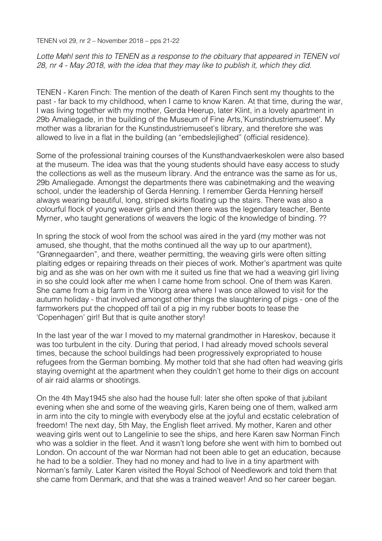TENEN vol 29, nr 2 – November 2018 – pps 21-22

Lotte Møhl sent this to TENEN as a response to the obituary that appeared in TENEN vol *28, nr 4 - May 2018, with the idea that they may like to publish it, which they did.*

TENEN - Karen Finch: The mention of the death of Karen Finch sent my thoughts to the past - far back to my childhood, when I came to know Karen. At that time, during the war, I was living together with my mother, Gerda Heerup, later Klint, in a lovely apartment in 29b Amaliegade, in the building of the Museum of Fine Arts,'Kunstindustriemuseet'. My mother was a librarian for the Kunstindustriemuseet's library, and therefore she was allowed to live in a flat in the building (an "embedslejlighed" (official residence).

Some of the professional training courses of the Kunsthandvaerkeskolen were also based at the museum. The idea was that the young students should have easy access to study the collections as well as the museum library. And the entrance was the same as for us, 29b Amaliegade. Amongst the departments there was cabinetmaking and the weaving school, under the leadership of Gerda Henning. I remember Gerda Henning herself always wearing beautiful, long, striped skirts floating up the stairs. There was also a colourful flock of young weaver girls and then there was the legendary teacher, Bente Myrner, who taught generations of weavers the logic of the knowledge of binding. ??

In spring the stock of wool from the school was aired in the yard (my mother was not amused, she thought, that the moths continued all the way up to our apartment), "Grønnegaarden", and there, weather permitting, the weaving girls were often sitting plaiting edges or repairing threads on their pieces of work. Mother's apartment was quite big and as she was on her own with me it suited us fine that we had a weaving girl living in so she could look after me when I came home from school. One of them was Karen. She came from a big farm in the Viborg area where I was once allowed to visit for the autumn holiday - that involved amongst other things the slaughtering of pigs - one of the farmworkers put the chopped off tail of a pig in my rubber boots to tease the 'Copenhagen' girl! But that is quite another story!

In the last year of the war I moved to my maternal grandmother in Hareskov, because it was too turbulent in the city. During that period, I had already moved schools several times, because the school buildings had been progressively expropriated to house refugees from the German bombing. My mother told that she had often had weaving girls staying overnight at the apartment when they couldn't get home to their digs on account of air raid alarms or shootings.

On the 4th May1945 she also had the house full: later she often spoke of that jubilant evening when she and some of the weaving girls, Karen being one of them, walked arm in arm into the city to mingle with everybody else at the joyful and ecstatic celebration of freedom! The next day, 5th May, the English fleet arrived. My mother, Karen and other weaving girls went out to Langelinie to see the ships, and here Karen saw Norman Finch who was a soldier in the fleet. And it wasn't long before she went with him to bombed out London. On account of the war Norman had not been able to get an education, because he had to be a soldier. They had no money and had to live in a tiny apartment with Norman's family. Later Karen visited the Royal School of Needlework and told them that she came from Denmark, and that she was a trained weaver! And so her career began.